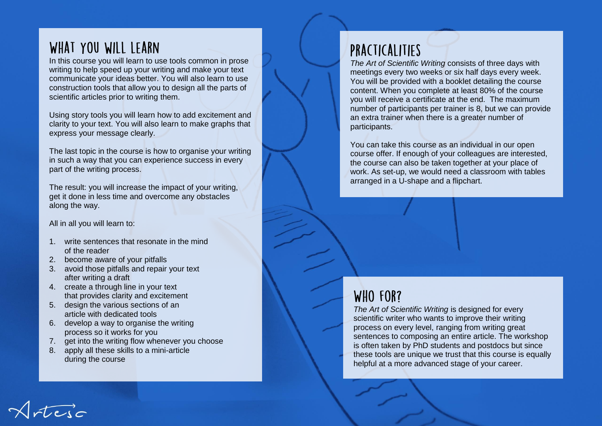# WHAT YOU WILL LEARN

In this course you will learn to use tools common in prose writing to help speed up your writing and make your text communicate your ideas better. You will also learn to use construction tools that allow you to design all the parts of scientific articles prior to writing them.

Using story tools you will learn how to add excitement and clarity to your text. You will also learn to make graphs that express your message clearly.

The last topic in the course is how to organise your writing in such a way that you can experience success in every part of the writing process.

The result: you will increase the impact of your writing, get it done in less time and overcome any obstacles along the way.

#### All in all you will learn to:

- 1. write sentences that resonate in the mind of the reader
- 2. become aware of your pitfalls
- 3. avoid those pitfalls and repair your text after writing a draft
- 4. create a through line in your text that provides clarity and excitement
- 5. design the various sections of an article with dedicated tools
- 6. develop a way to organise the writing process so it works for you
- 7. get into the writing flow whenever you choose
- 8. apply all these skills to a mini-article during the course

# PRACTICALITIES

*The Art of Scientific Writing* consists of three days with meetings every two weeks or six half days every week. You will be provided with a booklet detailing the course content. When you complete at least 80% of the course you will receive a certificate at the end. The maximum number of participants per trainer is 8, but we can provide an extra trainer when there is a greater number of participants.

You can take this course as an individual in our open course offer. If enough of your colleagues are interested, the course can also be taken together at your place of work. As set-up, we would need a classroom with tables arranged in a U-shape and a flipchart.

## WHO FOR?

*The Art of Scientific Writing* is designed for every scientific writer who wants to improve their writing process on every level, ranging from writing great sentences to composing an entire article. The workshop is often taken by PhD students and postdocs but since these tools are unique we trust that this course is equally helpful at a more advanced stage of your career.

rteja